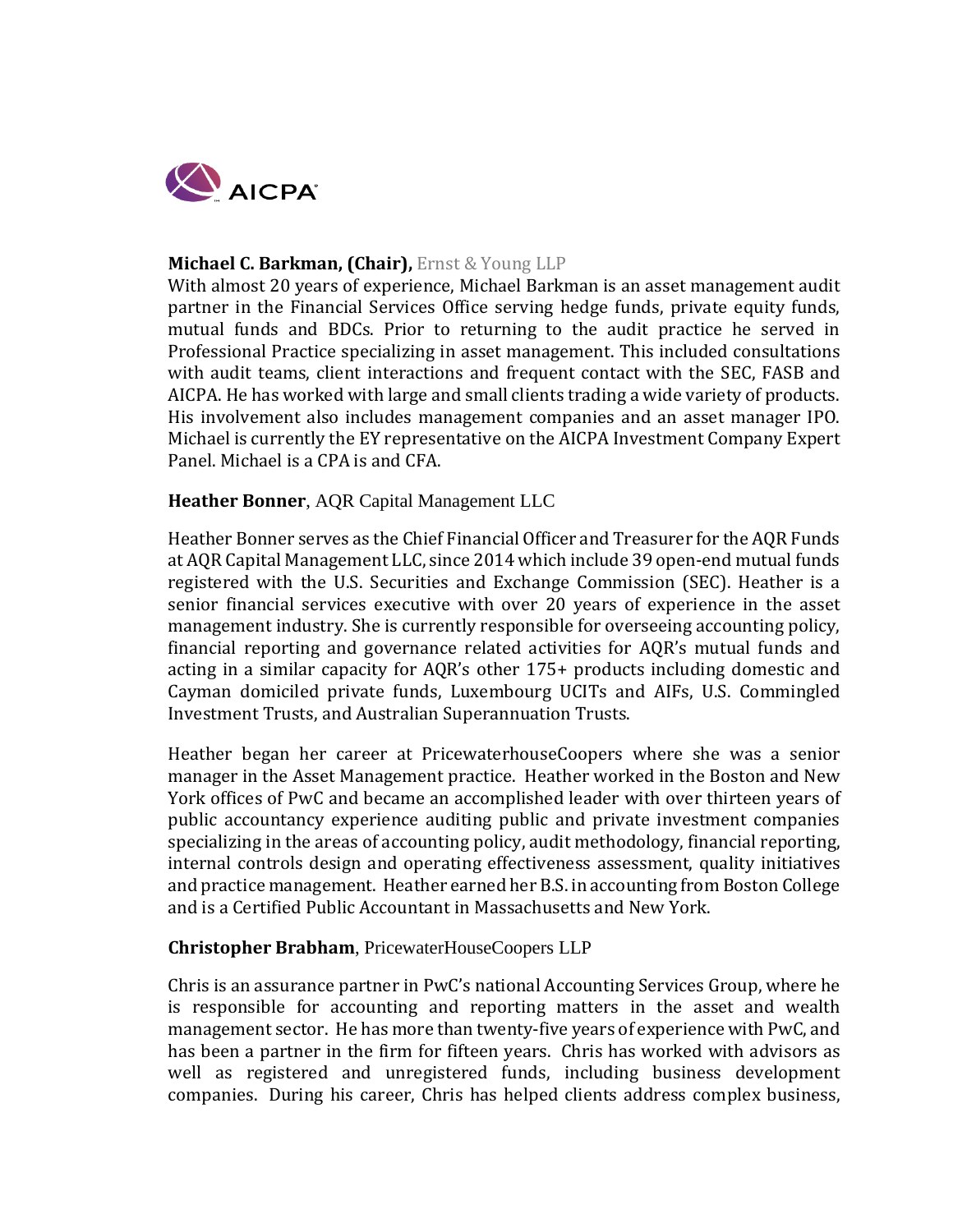

## **Michael C. Barkman, (Chair),** Ernst & Young LLP

With almost 20 years of experience, Michael Barkman is an asset management audit partner in the Financial Services Office serving hedge funds, private equity funds, mutual funds and BDCs. Prior to returning to the audit practice he served in Professional Practice specializing in asset management. This included consultations with audit teams, client interactions and frequent contact with the SEC, FASB and AICPA. He has worked with large and small clients trading a wide variety of products. His involvement also includes management companies and an asset manager IPO. Michael is currently the EY representative on the AICPA Investment Company Expert Panel. Michael is a CPA is and CFA.

#### **Heather Bonner**, AQR Capital Management LLC

Heather Bonner serves as the Chief Financial Officer and Treasurer for the AQR Funds at AQR Capital Management LLC, since 2014 which include 39 open-end mutual funds registered with the U.S. Securities and Exchange Commission (SEC). Heather is a senior financial services executive with over 20 years of experience in the asset management industry. She is currently responsible for overseeing accounting policy, financial reporting and governance related activities for AQR's mutual funds and acting in a similar capacity for AQR's other 175+ products including domestic and Cayman domiciled private funds, Luxembourg UCITs and AIFs, U.S. Commingled Investment Trusts, and Australian Superannuation Trusts.

Heather began her career at PricewaterhouseCoopers where she was a senior manager in the Asset Management practice. Heather worked in the Boston and New York offices of PwC and became an accomplished leader with over thirteen years of public accountancy experience auditing public and private investment companies specializing in the areas of accounting policy, audit methodology, financial reporting, internal controls design and operating effectiveness assessment, quality initiatives and practice management. Heather earned her B.S. in accounting from Boston College and is a Certified Public Accountant in Massachusetts and New York.

#### **Christopher Brabham**, PricewaterHouseCoopers LLP

Chris is an assurance partner in PwC's national Accounting Services Group, where he is responsible for accounting and reporting matters in the asset and wealth management sector. He has more than twenty-five years of experience with PwC, and has been a partner in the firm for fifteen years. Chris has worked with advisors as well as registered and unregistered funds, including business development companies. During his career, Chris has helped clients address complex business,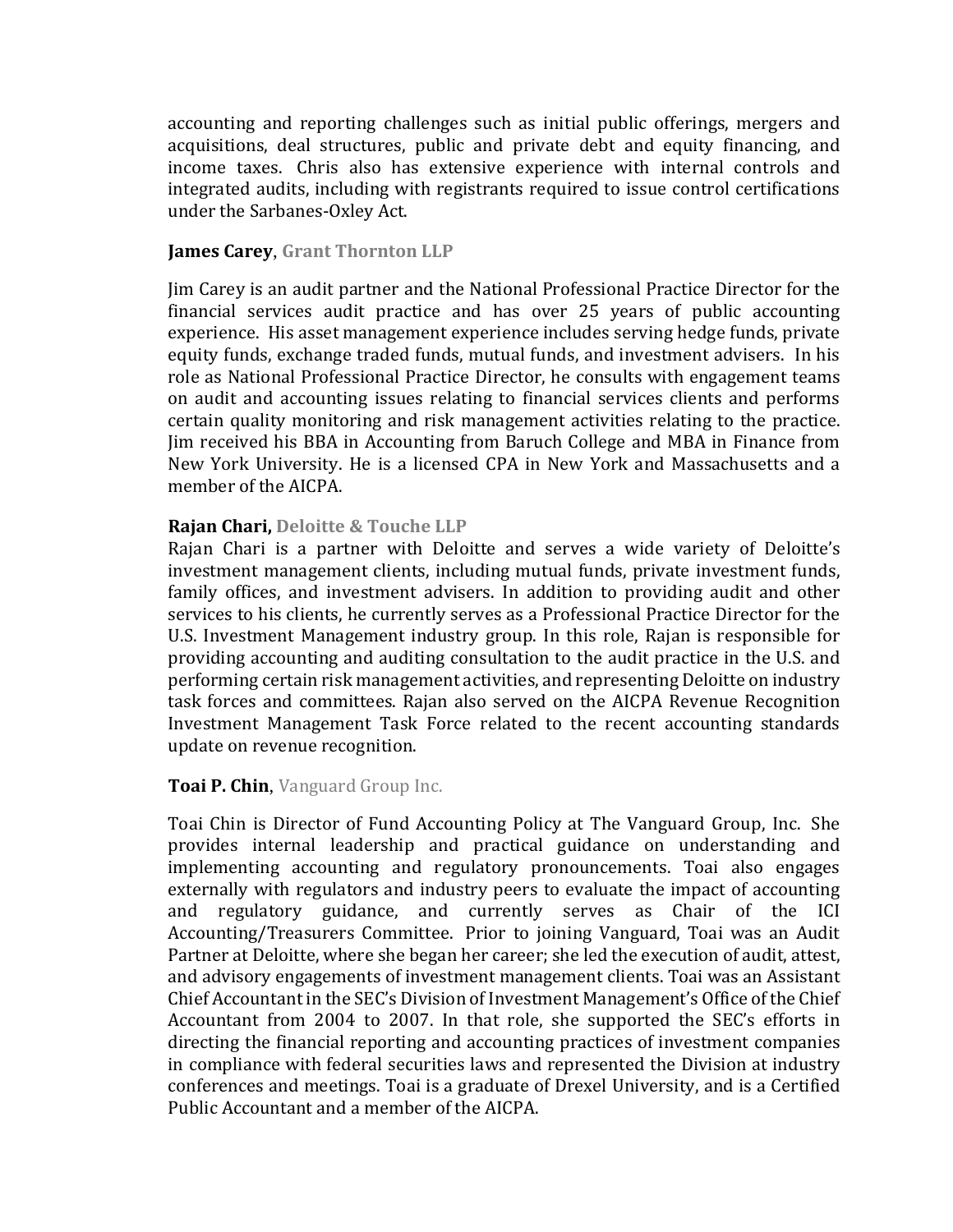accounting and reporting challenges such as initial public offerings, mergers and acquisitions, deal structures, public and private debt and equity financing, and income taxes. Chris also has extensive experience with internal controls and integrated audits, including with registrants required to issue control certifications under the Sarbanes-Oxley Act.

## **James Carey**, **Grant Thornton LLP**

Jim Carey is an audit partner and the National Professional Practice Director for the financial services audit practice and has over 25 years of public accounting experience. His asset management experience includes serving hedge funds, private equity funds, exchange traded funds, mutual funds, and investment advisers. In his role as National Professional Practice Director, he consults with engagement teams on audit and accounting issues relating to financial services clients and performs certain quality monitoring and risk management activities relating to the practice. Jim received his BBA in Accounting from Baruch College and MBA in Finance from New York University. He is a licensed CPA in New York and Massachusetts and a member of the AICPA.

## **Rajan Chari, Deloitte & Touche LLP**

Rajan Chari is a partner with Deloitte and serves a wide variety of Deloitte's investment management clients, including mutual funds, private investment funds, family offices, and investment advisers. In addition to providing audit and other services to his clients, he currently serves as a Professional Practice Director for the U.S. Investment Management industry group. In this role, Rajan is responsible for providing accounting and auditing consultation to the audit practice in the U.S. and performing certain risk management activities, and representing Deloitte on industry task forces and committees. Rajan also served on the AICPA Revenue Recognition Investment Management Task Force related to the recent accounting standards update on revenue recognition.

# **Toai P. Chin**, Vanguard Group Inc.

Toai Chin is Director of Fund Accounting Policy at The Vanguard Group, Inc. She provides internal leadership and practical guidance on understanding and implementing accounting and regulatory pronouncements. Toai also engages externally with regulators and industry peers to evaluate the impact of accounting<br>and regulatory guidance, and currently serves as Chair of the ICI and regulatory guidance, and currently serves as Chair of the Accounting/Treasurers Committee. Prior to joining Vanguard, Toai was an Audit Partner at Deloitte, where she began her career; she led the execution of audit, attest, and advisory engagements of investment management clients. Toai was an Assistant Chief Accountant in the SEC's Division of Investment Management's Office of the Chief Accountant from 2004 to 2007. In that role, she supported the SEC's efforts in directing the financial reporting and accounting practices of investment companies in compliance with federal securities laws and represented the Division at industry conferences and meetings. Toai is a graduate of Drexel University, and is a Certified Public Accountant and a member of the AICPA.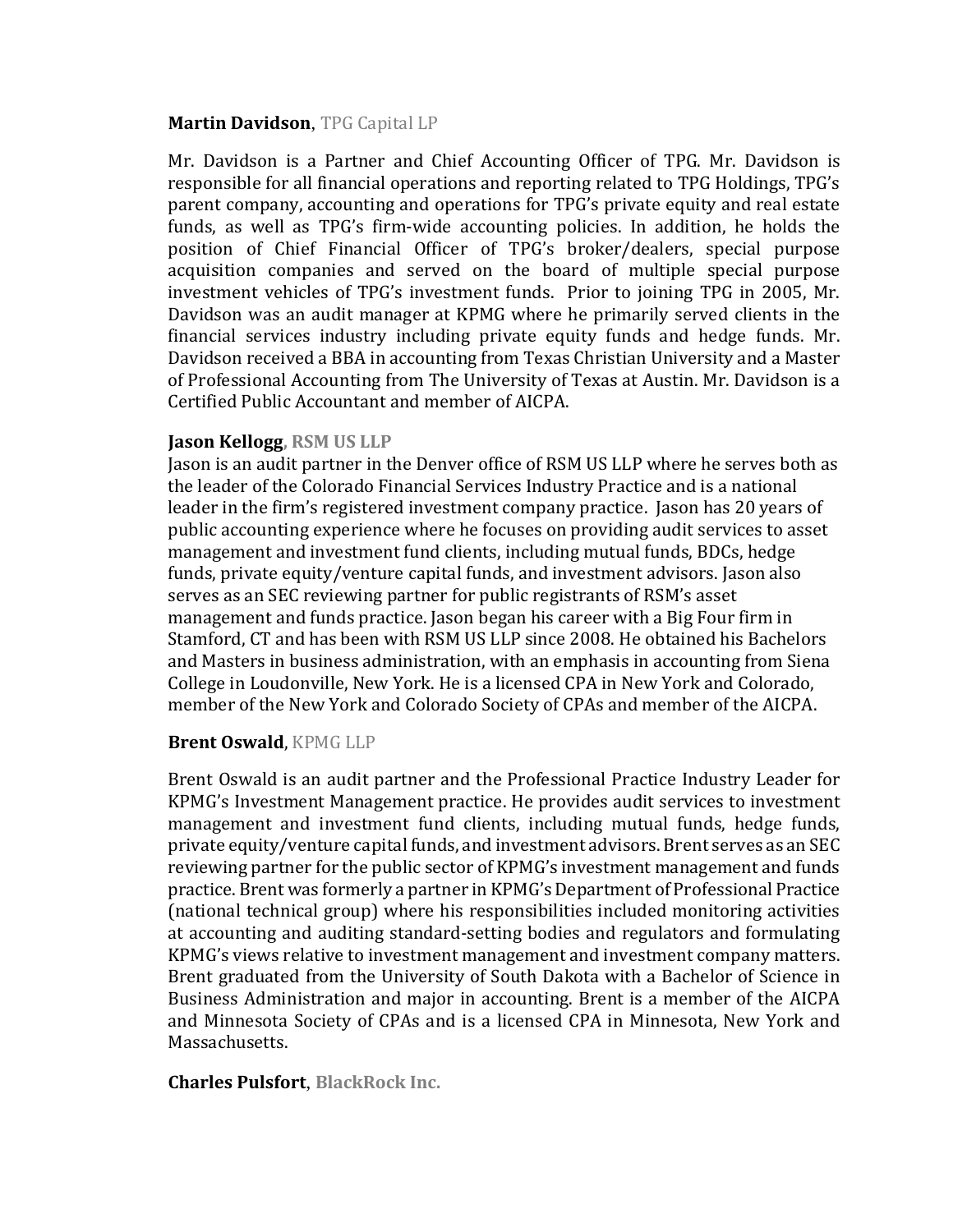#### **Martin Davidson**, TPG Capital LP

Mr. Davidson is a Partner and Chief Accounting Officer of TPG. Mr. Davidson is responsible for all financial operations and reporting related to TPG Holdings, TPG's parent company, accounting and operations for TPG's private equity and real estate funds, as well as TPG's firm-wide accounting policies. In addition, he holds the position of Chief Financial Officer of TPG's broker/dealers, special purpose acquisition companies and served on the board of multiple special purpose investment vehicles of TPG's investment funds. Prior to joining TPG in 2005, Mr. Davidson was an audit manager at KPMG where he primarily served clients in the financial services industry including private equity funds and hedge funds. Mr. Davidson received a BBA in accounting from Texas Christian University and a Master of Professional Accounting from The University of Texas at Austin. Mr. Davidson is a Certified Public Accountant and member of AICPA.

## **Jason Kellogg, RSM US LLP**

Jason is an audit partner in the Denver office of RSM US LLP where he serves both as the leader of the Colorado Financial Services Industry Practice and is a national leader in the firm's registered investment company practice. Jason has 20 years of public accounting experience where he focuses on providing audit services to asset management and investment fund clients, including mutual funds, BDCs, hedge funds, private equity/venture capital funds, and investment advisors. Jason also serves as an SEC reviewing partner for public registrants of RSM's asset management and funds practice. Jason began his career with a Big Four firm in Stamford, CT and has been with RSM US LLP since 2008. He obtained his Bachelors and Masters in business administration, with an emphasis in accounting from Siena College in Loudonville, New York. He is a licensed CPA in New York and Colorado, member of the New York and Colorado Society of CPAs and member of the AICPA.

#### **Brent Oswald**, KPMG LLP

Brent Oswald is an audit partner and the Professional Practice Industry Leader for KPMG's Investment Management practice. He provides audit services to investment management and investment fund clients, including mutual funds, hedge funds, private equity/venture capital funds, and investment advisors. Brent serves as an SEC reviewing partner for the public sector of KPMG's investment management and funds practice. Brent was formerly a partner in KPMG's Department of Professional Practice (national technical group) where his responsibilities included monitoring activities at accounting and auditing standard-setting bodies and regulators and formulating KPMG's views relative to investment management and investment company matters. Brent graduated from the University of South Dakota with a Bachelor of Science in Business Administration and major in accounting. Brent is a member of the AICPA and Minnesota Society of CPAs and is a licensed CPA in Minnesota, New York and Massachusetts.

**Charles Pulsfort**, **BlackRock Inc.**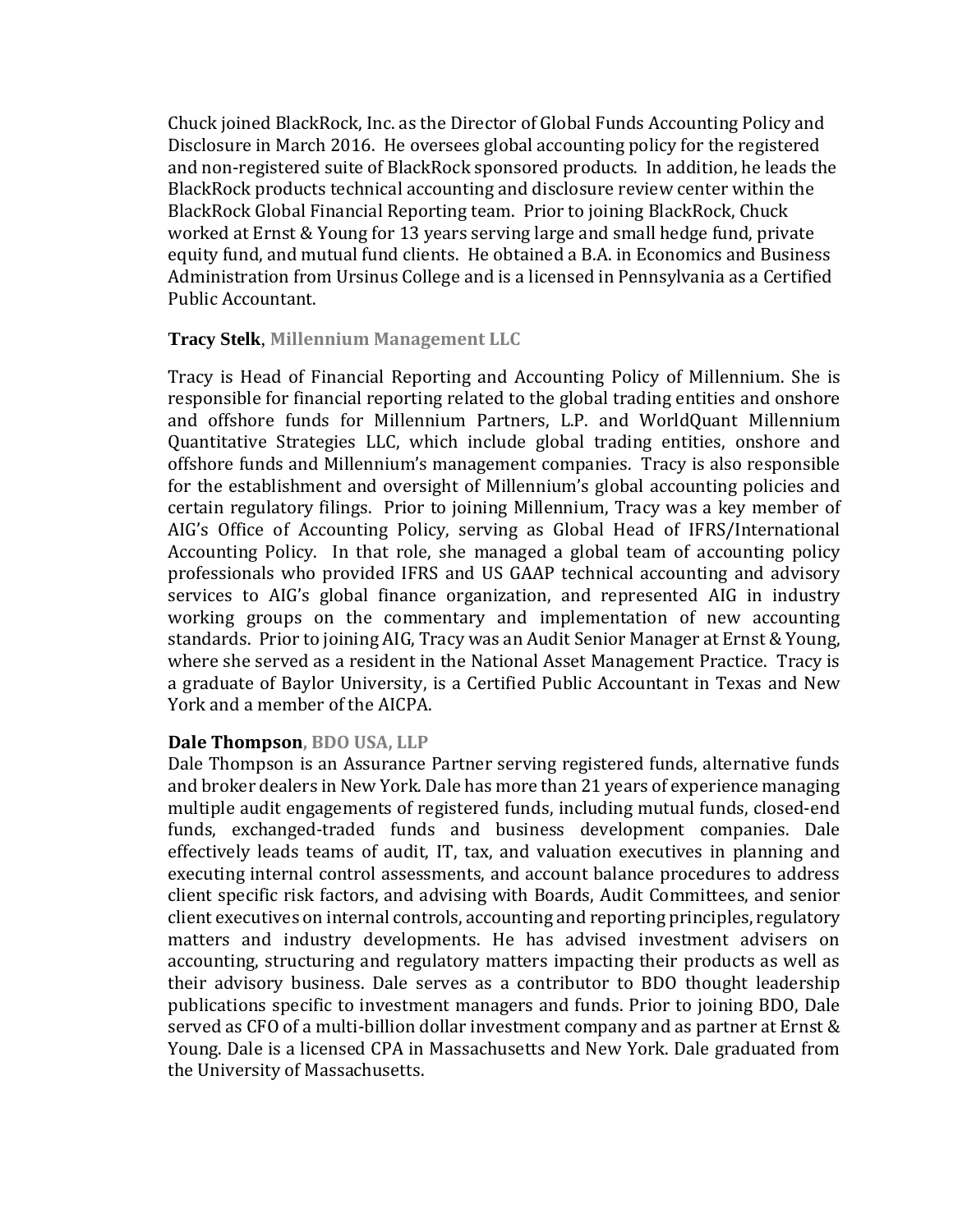Chuck joined BlackRock, Inc. as the Director of Global Funds Accounting Policy and Disclosure in March 2016. He oversees global accounting policy for the registered and non-registered suite of BlackRock sponsored products. In addition, he leads the BlackRock products technical accounting and disclosure review center within the BlackRock Global Financial Reporting team. Prior to joining BlackRock, Chuck worked at Ernst & Young for 13 years serving large and small hedge fund, private equity fund, and mutual fund clients. He obtained a B.A. in Economics and Business Administration from Ursinus College and is a licensed in Pennsylvania as a Certified Public Accountant.

#### **Tracy Stelk**, **Millennium Management LLC**

Tracy is Head of Financial Reporting and Accounting Policy of Millennium. She is responsible for financial reporting related to the global trading entities and onshore and offshore funds for Millennium Partners, L.P. and WorldQuant Millennium Quantitative Strategies LLC, which include global trading entities, onshore and offshore funds and Millennium's management companies. Tracy is also responsible for the establishment and oversight of Millennium's global accounting policies and certain regulatory filings. Prior to joining Millennium, Tracy was a key member of AIG's Office of Accounting Policy, serving as Global Head of IFRS/International Accounting Policy. In that role, she managed a global team of accounting policy professionals who provided IFRS and US GAAP technical accounting and advisory services to AIG's global finance organization, and represented AIG in industry working groups on the commentary and implementation of new accounting standards. Prior to joining AIG, Tracy was an Audit Senior Manager at Ernst & Young, where she served as a resident in the National Asset Management Practice. Tracy is a graduate of Baylor University, is a Certified Public Accountant in Texas and New York and a member of the AICPA.

# **Dale Thompson, BDO USA, LLP**

Dale Thompson is an Assurance Partner serving registered funds, alternative funds and broker dealers in New York. Dale has more than 21 years of experience managing multiple audit engagements of registered funds, including mutual funds, closed-end funds, exchanged-traded funds and business development companies. Dale effectively leads teams of audit, IT, tax, and valuation executives in planning and executing internal control assessments, and account balance procedures to address client specific risk factors, and advising with Boards, Audit Committees, and senior client executives on internal controls, accounting and reporting principles, regulatory matters and industry developments. He has advised investment advisers on accounting, structuring and regulatory matters impacting their products as well as their advisory business. Dale serves as a contributor to BDO thought leadership publications specific to investment managers and funds. Prior to joining BDO, Dale served as CFO of a multi-billion dollar investment company and as partner at Ernst & Young. Dale is a licensed CPA in Massachusetts and New York. Dale graduated from the University of Massachusetts.